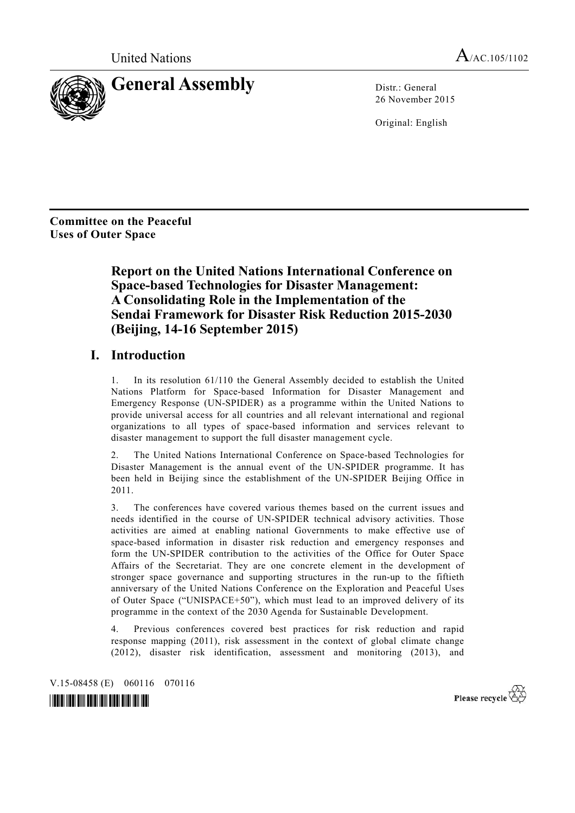

26 November 2015

Original: English

**Committee on the Peaceful Uses of Outer Space** 

> **Report on the United Nations International Conference on Space-based Technologies for Disaster Management: A Consolidating Role in the Implementation of the Sendai Framework for Disaster Risk Reduction 2015-2030 (Beijing, 14-16 September 2015)**

# **I. Introduction**

1. In its resolution 61/110 the General Assembly decided to establish the United Nations Platform for Space-based Information for Disaster Management and Emergency Response (UN-SPIDER) as a programme within the United Nations to provide universal access for all countries and all relevant international and regional organizations to all types of space-based information and services relevant to disaster management to support the full disaster management cycle.

2. The United Nations International Conference on Space-based Technologies for Disaster Management is the annual event of the UN-SPIDER programme. It has been held in Beijing since the establishment of the UN-SPIDER Beijing Office in 2011.

3. The conferences have covered various themes based on the current issues and needs identified in the course of UN-SPIDER technical advisory activities. Those activities are aimed at enabling national Governments to make effective use of space-based information in disaster risk reduction and emergency responses and form the UN-SPIDER contribution to the activities of the Office for Outer Space Affairs of the Secretariat. They are one concrete element in the development of stronger space governance and supporting structures in the run-up to the fiftieth anniversary of the United Nations Conference on the Exploration and Peaceful Uses of Outer Space ("UNISPACE+50"), which must lead to an improved delivery of its programme in the context of the 2030 Agenda for Sustainable Development.

4. Previous conferences covered best practices for risk reduction and rapid response mapping (2011), risk assessment in the context of global climate change (2012), disaster risk identification, assessment and monitoring (2013), and

V.15-08458 (E) 060116 070116



Please recycle  $\overleftrightarrow{C}$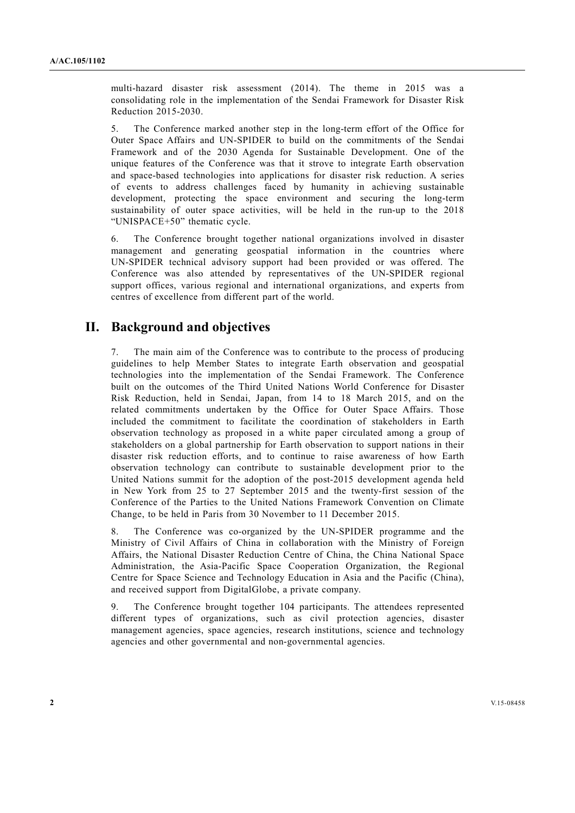multi-hazard disaster risk assessment (2014). The theme in 2015 was a consolidating role in the implementation of the Sendai Framework for Disaster Risk Reduction 2015-2030.

5. The Conference marked another step in the long-term effort of the Office for Outer Space Affairs and UN-SPIDER to build on the commitments of the Sendai Framework and of the 2030 Agenda for Sustainable Development. One of the unique features of the Conference was that it strove to integrate Earth observation and space-based technologies into applications for disaster risk reduction. A series of events to address challenges faced by humanity in achieving sustainable development, protecting the space environment and securing the long-term sustainability of outer space activities, will be held in the run-up to the 2018 "UNISPACE+50" thematic cycle.

6. The Conference brought together national organizations involved in disaster management and generating geospatial information in the countries where UN-SPIDER technical advisory support had been provided or was offered. The Conference was also attended by representatives of the UN-SPIDER regional support offices, various regional and international organizations, and experts from centres of excellence from different part of the world.

# **II. Background and objectives**

The main aim of the Conference was to contribute to the process of producing guidelines to help Member States to integrate Earth observation and geospatial technologies into the implementation of the Sendai Framework. The Conference built on the outcomes of the Third United Nations World Conference for Disaster Risk Reduction, held in Sendai, Japan, from 14 to 18 March 2015, and on the related commitments undertaken by the Office for Outer Space Affairs. Those included the commitment to facilitate the coordination of stakeholders in Earth observation technology as proposed in a white paper circulated among a group of stakeholders on a global partnership for Earth observation to support nations in their disaster risk reduction efforts, and to continue to raise awareness of how Earth observation technology can contribute to sustainable development prior to the United Nations summit for the adoption of the post-2015 development agenda held in New York from 25 to 27 September 2015 and the twenty-first session of the Conference of the Parties to the United Nations Framework Convention on Climate Change, to be held in Paris from 30 November to 11 December 2015.

8. The Conference was co-organized by the UN-SPIDER programme and the Ministry of Civil Affairs of China in collaboration with the Ministry of Foreign Affairs, the National Disaster Reduction Centre of China, the China National Space Administration, the Asia-Pacific Space Cooperation Organization, the Regional Centre for Space Science and Technology Education in Asia and the Pacific (China), and received support from DigitalGlobe, a private company.

9. The Conference brought together 104 participants. The attendees represented different types of organizations, such as civil protection agencies, disaster management agencies, space agencies, research institutions, science and technology agencies and other governmental and non-governmental agencies.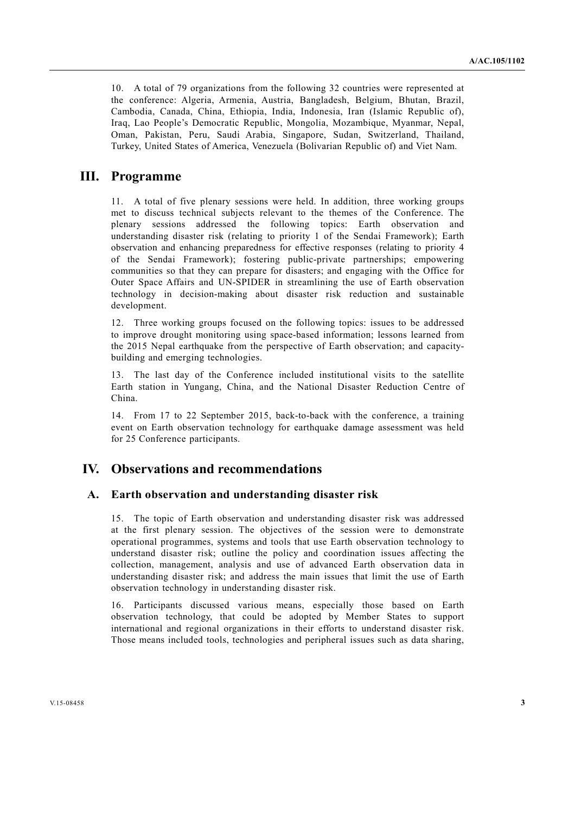10. A total of 79 organizations from the following 32 countries were represented at the conference: Algeria, Armenia, Austria, Bangladesh, Belgium, Bhutan, Brazil, Cambodia, Canada, China, Ethiopia, India, Indonesia, Iran (Islamic Republic of), Iraq, Lao People's Democratic Republic, Mongolia, Mozambique, Myanmar, Nepal, Oman, Pakistan, Peru, Saudi Arabia, Singapore, Sudan, Switzerland, Thailand, Turkey, United States of America, Venezuela (Bolivarian Republic of) and Viet Nam.

# **III. Programme**

11. A total of five plenary sessions were held. In addition, three working groups met to discuss technical subjects relevant to the themes of the Conference. The plenary sessions addressed the following topics: Earth observation and understanding disaster risk (relating to priority 1 of the Sendai Framework); Earth observation and enhancing preparedness for effective responses (relating to priority 4 of the Sendai Framework); fostering public-private partnerships; empowering communities so that they can prepare for disasters; and engaging with the Office for Outer Space Affairs and UN-SPIDER in streamlining the use of Earth observation technology in decision-making about disaster risk reduction and sustainable development.

12. Three working groups focused on the following topics: issues to be addressed to improve drought monitoring using space-based information; lessons learned from the 2015 Nepal earthquake from the perspective of Earth observation; and capacitybuilding and emerging technologies.

13. The last day of the Conference included institutional visits to the satellite Earth station in Yungang, China, and the National Disaster Reduction Centre of China.

14. From 17 to 22 September 2015, back-to-back with the conference, a training event on Earth observation technology for earthquake damage assessment was held for 25 Conference participants.

# **IV. Observations and recommendations**

#### **A. Earth observation and understanding disaster risk**

15. The topic of Earth observation and understanding disaster risk was addressed at the first plenary session. The objectives of the session were to demonstrate operational programmes, systems and tools that use Earth observation technology to understand disaster risk; outline the policy and coordination issues affecting the collection, management, analysis and use of advanced Earth observation data in understanding disaster risk; and address the main issues that limit the use of Earth observation technology in understanding disaster risk.

16. Participants discussed various means, especially those based on Earth observation technology, that could be adopted by Member States to support international and regional organizations in their efforts to understand disaster risk. Those means included tools, technologies and peripheral issues such as data sharing,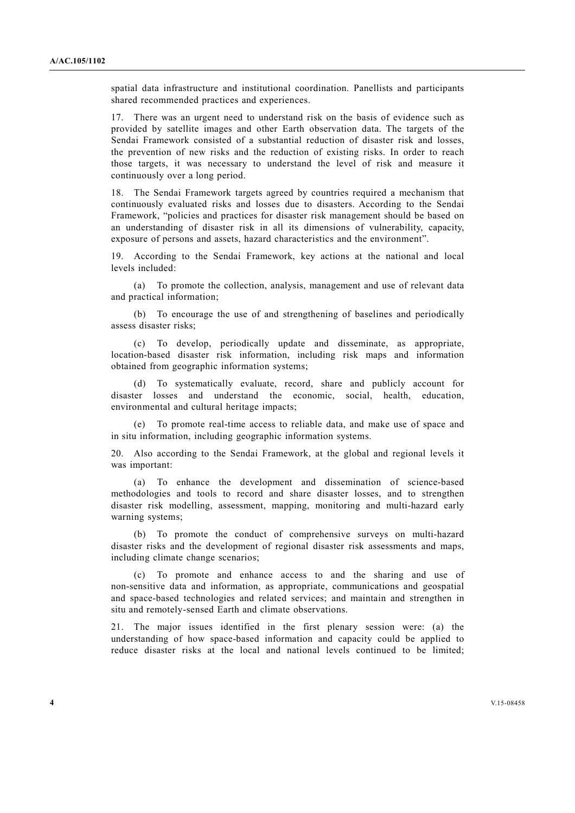spatial data infrastructure and institutional coordination. Panellists and participants shared recommended practices and experiences.

17. There was an urgent need to understand risk on the basis of evidence such as provided by satellite images and other Earth observation data. The targets of the Sendai Framework consisted of a substantial reduction of disaster risk and losses, the prevention of new risks and the reduction of existing risks. In order to reach those targets, it was necessary to understand the level of risk and measure it continuously over a long period.

18. The Sendai Framework targets agreed by countries required a mechanism that continuously evaluated risks and losses due to disasters. According to the Sendai Framework, "policies and practices for disaster risk management should be based on an understanding of disaster risk in all its dimensions of vulnerability, capacity, exposure of persons and assets, hazard characteristics and the environment".

19. According to the Sendai Framework, key actions at the national and local levels included:

 (a) To promote the collection, analysis, management and use of relevant data and practical information;

 (b) To encourage the use of and strengthening of baselines and periodically assess disaster risks;

 (c) To develop, periodically update and disseminate, as appropriate, location-based disaster risk information, including risk maps and information obtained from geographic information systems;

 (d) To systematically evaluate, record, share and publicly account for disaster losses and understand the economic, social, health, education, environmental and cultural heritage impacts;

 (e) To promote real-time access to reliable data, and make use of space and in situ information, including geographic information systems.

20. Also according to the Sendai Framework, at the global and regional levels it was important:

 (a) To enhance the development and dissemination of science-based methodologies and tools to record and share disaster losses, and to strengthen disaster risk modelling, assessment, mapping, monitoring and multi-hazard early warning systems;

 (b) To promote the conduct of comprehensive surveys on multi-hazard disaster risks and the development of regional disaster risk assessments and maps, including climate change scenarios;

 (c) To promote and enhance access to and the sharing and use of non-sensitive data and information, as appropriate, communications and geospatial and space-based technologies and related services; and maintain and strengthen in situ and remotely-sensed Earth and climate observations.

21. The major issues identified in the first plenary session were: (a) the understanding of how space-based information and capacity could be applied to reduce disaster risks at the local and national levels continued to be limited;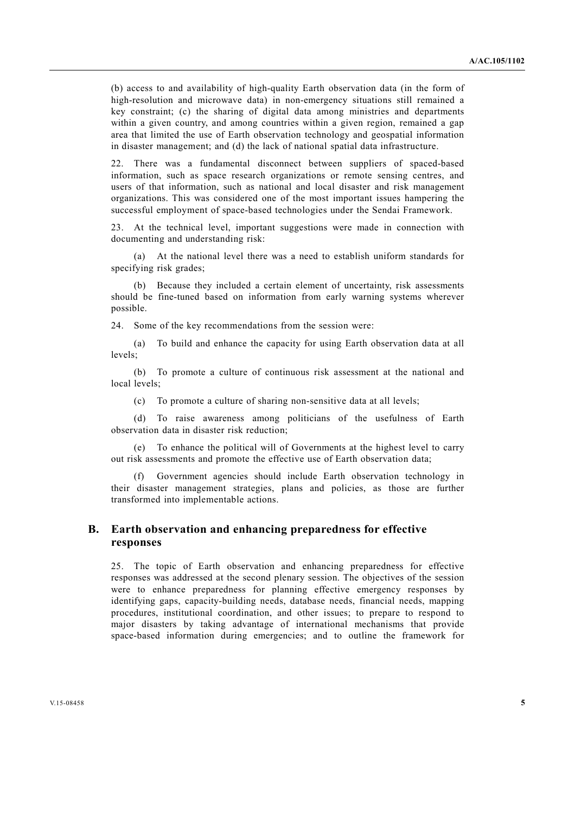(b) access to and availability of high-quality Earth observation data (in the form of high-resolution and microwave data) in non-emergency situations still remained a key constraint; (c) the sharing of digital data among ministries and departments within a given country, and among countries within a given region, remained a gap area that limited the use of Earth observation technology and geospatial information in disaster management; and (d) the lack of national spatial data infrastructure.

22. There was a fundamental disconnect between suppliers of spaced-based information, such as space research organizations or remote sensing centres, and users of that information, such as national and local disaster and risk management organizations. This was considered one of the most important issues hampering the successful employment of space-based technologies under the Sendai Framework.

23. At the technical level, important suggestions were made in connection with documenting and understanding risk:

 (a) At the national level there was a need to establish uniform standards for specifying risk grades;

 (b) Because they included a certain element of uncertainty, risk assessments should be fine-tuned based on information from early warning systems wherever possible.

24. Some of the key recommendations from the session were:

 (a) To build and enhance the capacity for using Earth observation data at all levels;

 (b) To promote a culture of continuous risk assessment at the national and local levels;

(c) To promote a culture of sharing non-sensitive data at all levels;

 (d) To raise awareness among politicians of the usefulness of Earth observation data in disaster risk reduction;

To enhance the political will of Governments at the highest level to carry out risk assessments and promote the effective use of Earth observation data;

Government agencies should include Earth observation technology in their disaster management strategies, plans and policies, as those are further transformed into implementable actions.

### **B. Earth observation and enhancing preparedness for effective responses**

25. The topic of Earth observation and enhancing preparedness for effective responses was addressed at the second plenary session. The objectives of the session were to enhance preparedness for planning effective emergency responses by identifying gaps, capacity-building needs, database needs, financial needs, mapping procedures, institutional coordination, and other issues; to prepare to respond to major disasters by taking advantage of international mechanisms that provide space-based information during emergencies; and to outline the framework for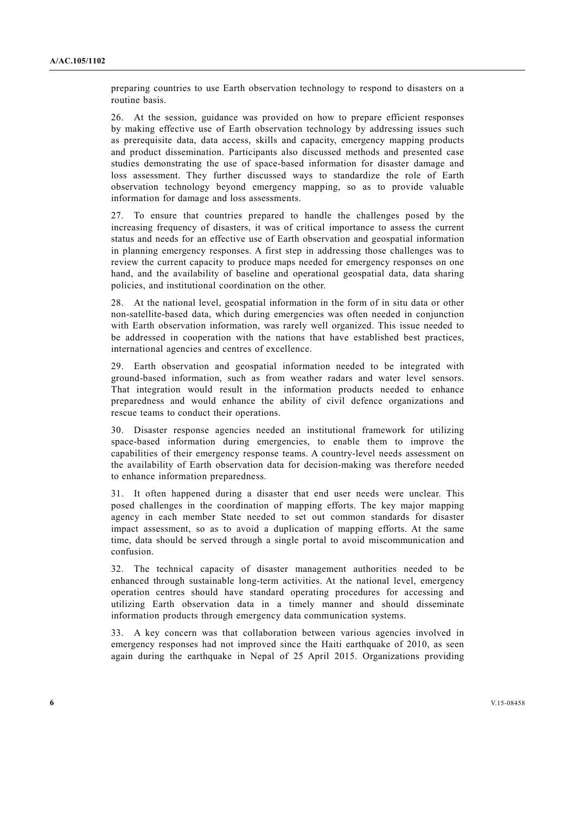preparing countries to use Earth observation technology to respond to disasters on a routine basis.

26. At the session, guidance was provided on how to prepare efficient responses by making effective use of Earth observation technology by addressing issues such as prerequisite data, data access, skills and capacity, emergency mapping products and product dissemination. Participants also discussed methods and presented case studies demonstrating the use of space-based information for disaster damage and loss assessment. They further discussed ways to standardize the role of Earth observation technology beyond emergency mapping, so as to provide valuable information for damage and loss assessments.

27. To ensure that countries prepared to handle the challenges posed by the increasing frequency of disasters, it was of critical importance to assess the current status and needs for an effective use of Earth observation and geospatial information in planning emergency responses. A first step in addressing those challenges was to review the current capacity to produce maps needed for emergency responses on one hand, and the availability of baseline and operational geospatial data, data sharing policies, and institutional coordination on the other.

28. At the national level, geospatial information in the form of in situ data or other non-satellite-based data, which during emergencies was often needed in conjunction with Earth observation information, was rarely well organized. This issue needed to be addressed in cooperation with the nations that have established best practices, international agencies and centres of excellence.

29. Earth observation and geospatial information needed to be integrated with ground-based information, such as from weather radars and water level sensors. That integration would result in the information products needed to enhance preparedness and would enhance the ability of civil defence organizations and rescue teams to conduct their operations.

30. Disaster response agencies needed an institutional framework for utilizing space-based information during emergencies, to enable them to improve the capabilities of their emergency response teams. A country-level needs assessment on the availability of Earth observation data for decision-making was therefore needed to enhance information preparedness.

31. It often happened during a disaster that end user needs were unclear. This posed challenges in the coordination of mapping efforts. The key major mapping agency in each member State needed to set out common standards for disaster impact assessment, so as to avoid a duplication of mapping efforts. At the same time, data should be served through a single portal to avoid miscommunication and confusion.

32. The technical capacity of disaster management authorities needed to be enhanced through sustainable long-term activities. At the national level, emergency operation centres should have standard operating procedures for accessing and utilizing Earth observation data in a timely manner and should disseminate information products through emergency data communication systems.

33. A key concern was that collaboration between various agencies involved in emergency responses had not improved since the Haiti earthquake of 2010, as seen again during the earthquake in Nepal of 25 April 2015. Organizations providing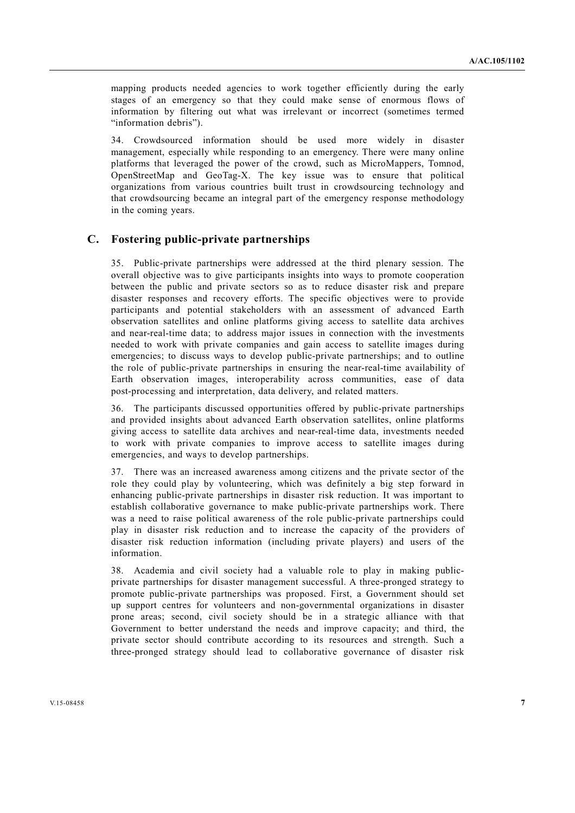mapping products needed agencies to work together efficiently during the early stages of an emergency so that they could make sense of enormous flows of information by filtering out what was irrelevant or incorrect (sometimes termed "information debris").

34. Crowdsourced information should be used more widely in disaster management, especially while responding to an emergency. There were many online platforms that leveraged the power of the crowd, such as MicroMappers, Tomnod, OpenStreetMap and GeoTag-X. The key issue was to ensure that political organizations from various countries built trust in crowdsourcing technology and that crowdsourcing became an integral part of the emergency response methodology in the coming years.

#### **C. Fostering public-private partnerships**

35. Public-private partnerships were addressed at the third plenary session. The overall objective was to give participants insights into ways to promote cooperation between the public and private sectors so as to reduce disaster risk and prepare disaster responses and recovery efforts. The specific objectives were to provide participants and potential stakeholders with an assessment of advanced Earth observation satellites and online platforms giving access to satellite data archives and near-real-time data; to address major issues in connection with the investments needed to work with private companies and gain access to satellite images during emergencies; to discuss ways to develop public-private partnerships; and to outline the role of public-private partnerships in ensuring the near-real-time availability of Earth observation images, interoperability across communities, ease of data post-processing and interpretation, data delivery, and related matters.

36. The participants discussed opportunities offered by public-private partnerships and provided insights about advanced Earth observation satellites, online platforms giving access to satellite data archives and near-real-time data, investments needed to work with private companies to improve access to satellite images during emergencies, and ways to develop partnerships.

37. There was an increased awareness among citizens and the private sector of the role they could play by volunteering, which was definitely a big step forward in enhancing public-private partnerships in disaster risk reduction. It was important to establish collaborative governance to make public-private partnerships work. There was a need to raise political awareness of the role public-private partnerships could play in disaster risk reduction and to increase the capacity of the providers of disaster risk reduction information (including private players) and users of the information.

38. Academia and civil society had a valuable role to play in making publicprivate partnerships for disaster management successful. A three-pronged strategy to promote public-private partnerships was proposed. First, a Government should set up support centres for volunteers and non-governmental organizations in disaster prone areas; second, civil society should be in a strategic alliance with that Government to better understand the needs and improve capacity; and third, the private sector should contribute according to its resources and strength. Such a three-pronged strategy should lead to collaborative governance of disaster risk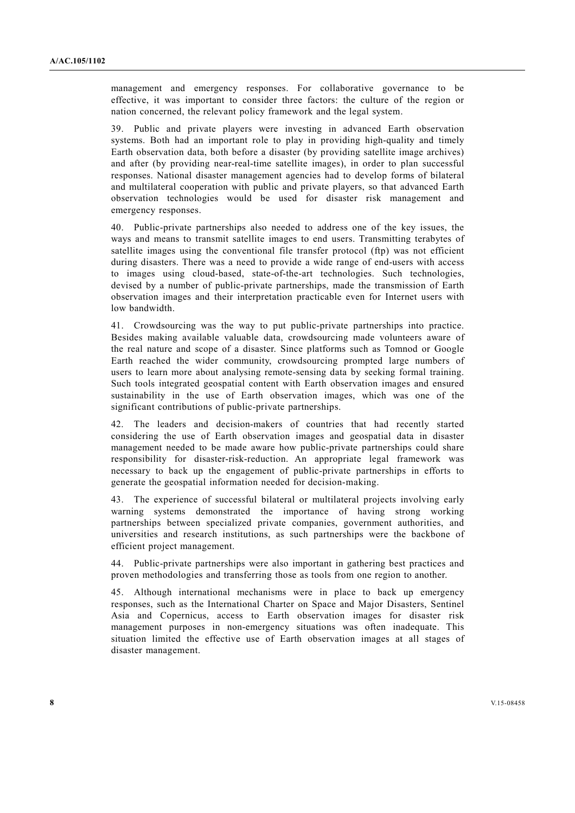management and emergency responses. For collaborative governance to be effective, it was important to consider three factors: the culture of the region or nation concerned, the relevant policy framework and the legal system.

39. Public and private players were investing in advanced Earth observation systems. Both had an important role to play in providing high-quality and timely Earth observation data, both before a disaster (by providing satellite image archives) and after (by providing near-real-time satellite images), in order to plan successful responses. National disaster management agencies had to develop forms of bilateral and multilateral cooperation with public and private players, so that advanced Earth observation technologies would be used for disaster risk management and emergency responses.

40. Public-private partnerships also needed to address one of the key issues, the ways and means to transmit satellite images to end users. Transmitting terabytes of satellite images using the conventional file transfer protocol (ftp) was not efficient during disasters. There was a need to provide a wide range of end-users with access to images using cloud-based, state-of-the-art technologies. Such technologies, devised by a number of public-private partnerships, made the transmission of Earth observation images and their interpretation practicable even for Internet users with low bandwidth.

41. Crowdsourcing was the way to put public-private partnerships into practice. Besides making available valuable data, crowdsourcing made volunteers aware of the real nature and scope of a disaster. Since platforms such as Tomnod or Google Earth reached the wider community, crowdsourcing prompted large numbers of users to learn more about analysing remote-sensing data by seeking formal training. Such tools integrated geospatial content with Earth observation images and ensured sustainability in the use of Earth observation images, which was one of the significant contributions of public-private partnerships.

42. The leaders and decision-makers of countries that had recently started considering the use of Earth observation images and geospatial data in disaster management needed to be made aware how public-private partnerships could share responsibility for disaster-risk-reduction. An appropriate legal framework was necessary to back up the engagement of public-private partnerships in efforts to generate the geospatial information needed for decision-making.

43. The experience of successful bilateral or multilateral projects involving early warning systems demonstrated the importance of having strong working partnerships between specialized private companies, government authorities, and universities and research institutions, as such partnerships were the backbone of efficient project management.

44. Public-private partnerships were also important in gathering best practices and proven methodologies and transferring those as tools from one region to another.

45. Although international mechanisms were in place to back up emergency responses, such as the International Charter on Space and Major Disasters, Sentinel Asia and Copernicus, access to Earth observation images for disaster risk management purposes in non-emergency situations was often inadequate. This situation limited the effective use of Earth observation images at all stages of disaster management.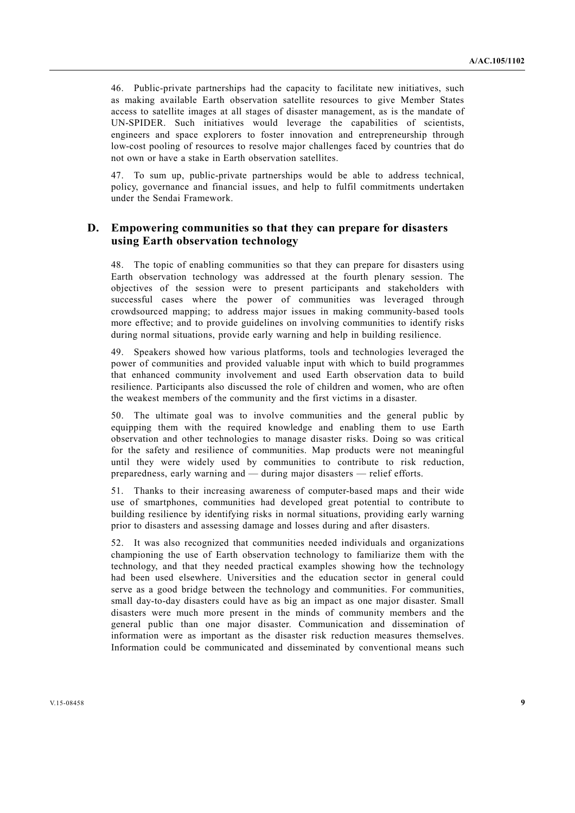46. Public-private partnerships had the capacity to facilitate new initiatives, such as making available Earth observation satellite resources to give Member States access to satellite images at all stages of disaster management, as is the mandate of UN-SPIDER. Such initiatives would leverage the capabilities of scientists, engineers and space explorers to foster innovation and entrepreneurship through low-cost pooling of resources to resolve major challenges faced by countries that do not own or have a stake in Earth observation satellites.

47. To sum up, public-private partnerships would be able to address technical, policy, governance and financial issues, and help to fulfil commitments undertaken under the Sendai Framework.

# **D. Empowering communities so that they can prepare for disasters using Earth observation technology**

48. The topic of enabling communities so that they can prepare for disasters using Earth observation technology was addressed at the fourth plenary session. The objectives of the session were to present participants and stakeholders with successful cases where the power of communities was leveraged through crowdsourced mapping; to address major issues in making community-based tools more effective; and to provide guidelines on involving communities to identify risks during normal situations, provide early warning and help in building resilience.

49. Speakers showed how various platforms, tools and technologies leveraged the power of communities and provided valuable input with which to build programmes that enhanced community involvement and used Earth observation data to build resilience. Participants also discussed the role of children and women, who are often the weakest members of the community and the first victims in a disaster.

50. The ultimate goal was to involve communities and the general public by equipping them with the required knowledge and enabling them to use Earth observation and other technologies to manage disaster risks. Doing so was critical for the safety and resilience of communities. Map products were not meaningful until they were widely used by communities to contribute to risk reduction, preparedness, early warning and — during major disasters — relief efforts.

51. Thanks to their increasing awareness of computer-based maps and their wide use of smartphones, communities had developed great potential to contribute to building resilience by identifying risks in normal situations, providing early warning prior to disasters and assessing damage and losses during and after disasters.

52. It was also recognized that communities needed individuals and organizations championing the use of Earth observation technology to familiarize them with the technology, and that they needed practical examples showing how the technology had been used elsewhere. Universities and the education sector in general could serve as a good bridge between the technology and communities. For communities, small day-to-day disasters could have as big an impact as one major disaster. Small disasters were much more present in the minds of community members and the general public than one major disaster. Communication and dissemination of information were as important as the disaster risk reduction measures themselves. Information could be communicated and disseminated by conventional means such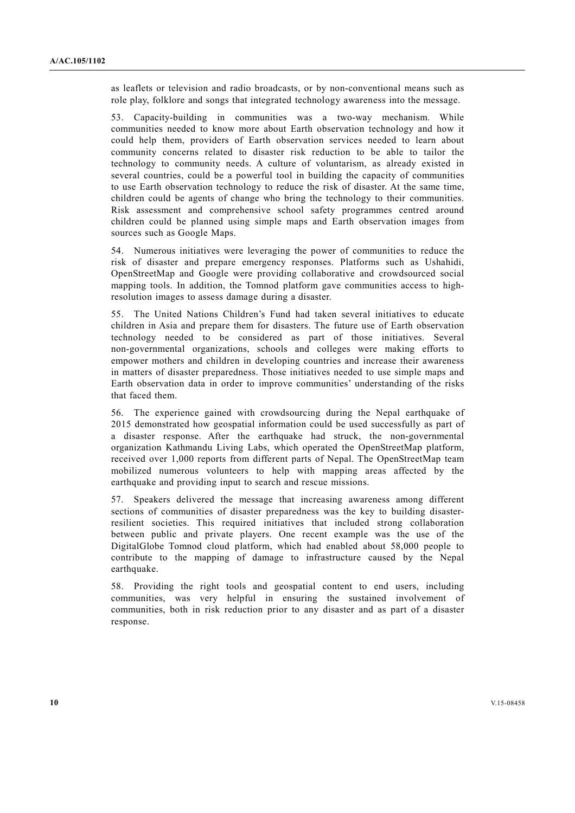as leaflets or television and radio broadcasts, or by non-conventional means such as role play, folklore and songs that integrated technology awareness into the message.

53. Capacity-building in communities was a two-way mechanism. While communities needed to know more about Earth observation technology and how it could help them, providers of Earth observation services needed to learn about community concerns related to disaster risk reduction to be able to tailor the technology to community needs. A culture of voluntarism, as already existed in several countries, could be a powerful tool in building the capacity of communities to use Earth observation technology to reduce the risk of disaster. At the same time, children could be agents of change who bring the technology to their communities. Risk assessment and comprehensive school safety programmes centred around children could be planned using simple maps and Earth observation images from sources such as Google Maps.

54. Numerous initiatives were leveraging the power of communities to reduce the risk of disaster and prepare emergency responses. Platforms such as Ushahidi, OpenStreetMap and Google were providing collaborative and crowdsourced social mapping tools. In addition, the Tomnod platform gave communities access to highresolution images to assess damage during a disaster.

55. The United Nations Children's Fund had taken several initiatives to educate children in Asia and prepare them for disasters. The future use of Earth observation technology needed to be considered as part of those initiatives. Several non-governmental organizations, schools and colleges were making efforts to empower mothers and children in developing countries and increase their awareness in matters of disaster preparedness. Those initiatives needed to use simple maps and Earth observation data in order to improve communities' understanding of the risks that faced them.

56. The experience gained with crowdsourcing during the Nepal earthquake of 2015 demonstrated how geospatial information could be used successfully as part of a disaster response. After the earthquake had struck, the non-governmental organization Kathmandu Living Labs, which operated the OpenStreetMap platform, received over 1,000 reports from different parts of Nepal. The OpenStreetMap team mobilized numerous volunteers to help with mapping areas affected by the earthquake and providing input to search and rescue missions.

57. Speakers delivered the message that increasing awareness among different sections of communities of disaster preparedness was the key to building disasterresilient societies. This required initiatives that included strong collaboration between public and private players. One recent example was the use of the DigitalGlobe Tomnod cloud platform, which had enabled about 58,000 people to contribute to the mapping of damage to infrastructure caused by the Nepal earthquake.

58. Providing the right tools and geospatial content to end users, including communities, was very helpful in ensuring the sustained involvement of communities, both in risk reduction prior to any disaster and as part of a disaster response.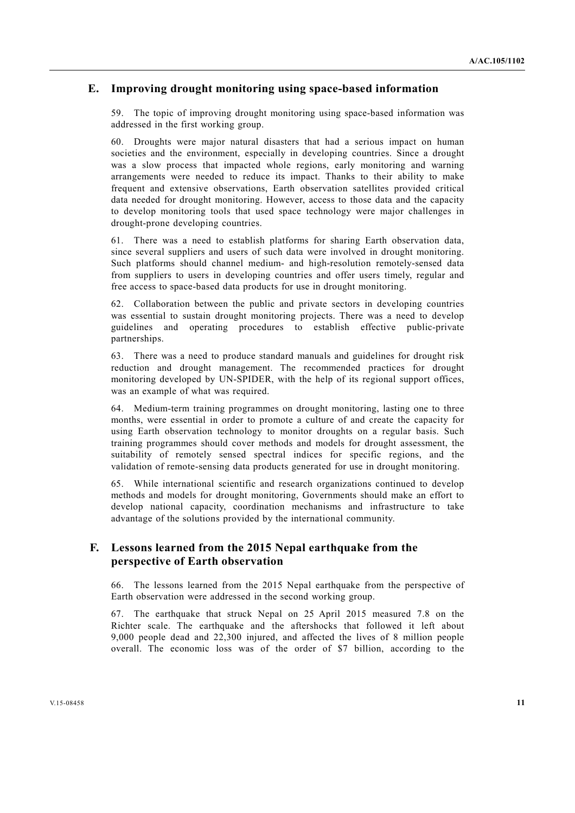### **E. Improving drought monitoring using space-based information**

59. The topic of improving drought monitoring using space-based information was addressed in the first working group.

60. Droughts were major natural disasters that had a serious impact on human societies and the environment, especially in developing countries. Since a drought was a slow process that impacted whole regions, early monitoring and warning arrangements were needed to reduce its impact. Thanks to their ability to make frequent and extensive observations, Earth observation satellites provided critical data needed for drought monitoring. However, access to those data and the capacity to develop monitoring tools that used space technology were major challenges in drought-prone developing countries.

61. There was a need to establish platforms for sharing Earth observation data, since several suppliers and users of such data were involved in drought monitoring. Such platforms should channel medium- and high-resolution remotely-sensed data from suppliers to users in developing countries and offer users timely, regular and free access to space-based data products for use in drought monitoring.

62. Collaboration between the public and private sectors in developing countries was essential to sustain drought monitoring projects. There was a need to develop guidelines and operating procedures to establish effective public-private partnerships.

63. There was a need to produce standard manuals and guidelines for drought risk reduction and drought management. The recommended practices for drought monitoring developed by UN-SPIDER, with the help of its regional support offices, was an example of what was required.

64. Medium-term training programmes on drought monitoring, lasting one to three months, were essential in order to promote a culture of and create the capacity for using Earth observation technology to monitor droughts on a regular basis. Such training programmes should cover methods and models for drought assessment, the suitability of remotely sensed spectral indices for specific regions, and the validation of remote-sensing data products generated for use in drought monitoring.

65. While international scientific and research organizations continued to develop methods and models for drought monitoring, Governments should make an effort to develop national capacity, coordination mechanisms and infrastructure to take advantage of the solutions provided by the international community.

# **F. Lessons learned from the 2015 Nepal earthquake from the perspective of Earth observation**

66. The lessons learned from the 2015 Nepal earthquake from the perspective of Earth observation were addressed in the second working group.

67. The earthquake that struck Nepal on 25 April 2015 measured 7.8 on the Richter scale. The earthquake and the aftershocks that followed it left about 9,000 people dead and 22,300 injured, and affected the lives of 8 million people overall. The economic loss was of the order of \$7 billion, according to the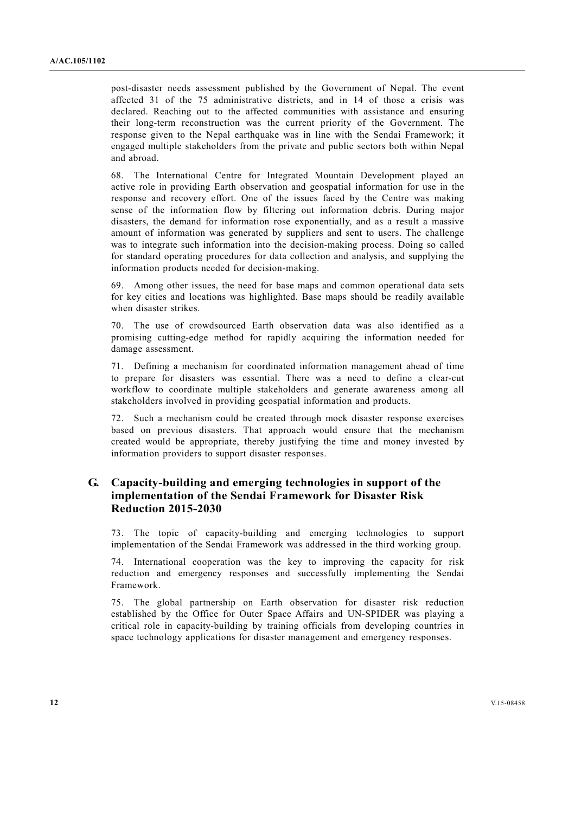post-disaster needs assessment published by the Government of Nepal. The event affected 31 of the 75 administrative districts, and in 14 of those a crisis was declared. Reaching out to the affected communities with assistance and ensuring their long-term reconstruction was the current priority of the Government. The response given to the Nepal earthquake was in line with the Sendai Framework; it engaged multiple stakeholders from the private and public sectors both within Nepal and abroad.

68. The International Centre for Integrated Mountain Development played an active role in providing Earth observation and geospatial information for use in the response and recovery effort. One of the issues faced by the Centre was making sense of the information flow by filtering out information debris. During major disasters, the demand for information rose exponentially, and as a result a massive amount of information was generated by suppliers and sent to users. The challenge was to integrate such information into the decision-making process. Doing so called for standard operating procedures for data collection and analysis, and supplying the information products needed for decision-making.

69. Among other issues, the need for base maps and common operational data sets for key cities and locations was highlighted. Base maps should be readily available when disaster strikes.

70. The use of crowdsourced Earth observation data was also identified as a promising cutting-edge method for rapidly acquiring the information needed for damage assessment.

71. Defining a mechanism for coordinated information management ahead of time to prepare for disasters was essential. There was a need to define a clear-cut workflow to coordinate multiple stakeholders and generate awareness among all stakeholders involved in providing geospatial information and products.

72. Such a mechanism could be created through mock disaster response exercises based on previous disasters. That approach would ensure that the mechanism created would be appropriate, thereby justifying the time and money invested by information providers to support disaster responses.

# **G. Capacity-building and emerging technologies in support of the implementation of the Sendai Framework for Disaster Risk Reduction 2015-2030**

73. The topic of capacity-building and emerging technologies to support implementation of the Sendai Framework was addressed in the third working group.

74. International cooperation was the key to improving the capacity for risk reduction and emergency responses and successfully implementing the Sendai Framework.

75. The global partnership on Earth observation for disaster risk reduction established by the Office for Outer Space Affairs and UN-SPIDER was playing a critical role in capacity-building by training officials from developing countries in space technology applications for disaster management and emergency responses.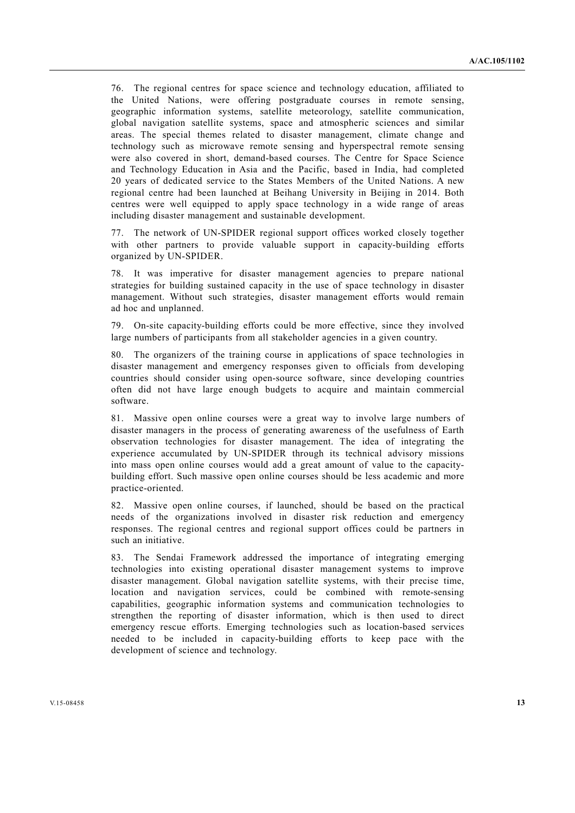76. The regional centres for space science and technology education, affiliated to the United Nations, were offering postgraduate courses in remote sensing, geographic information systems, satellite meteorology, satellite communication, global navigation satellite systems, space and atmospheric sciences and similar areas. The special themes related to disaster management, climate change and technology such as microwave remote sensing and hyperspectral remote sensing were also covered in short, demand-based courses. The Centre for Space Science and Technology Education in Asia and the Pacific, based in India, had completed 20 years of dedicated service to the States Members of the United Nations. A new regional centre had been launched at Beihang University in Beijing in 2014. Both centres were well equipped to apply space technology in a wide range of areas including disaster management and sustainable development.

77. The network of UN-SPIDER regional support offices worked closely together with other partners to provide valuable support in capacity-building efforts organized by UN-SPIDER.

78. It was imperative for disaster management agencies to prepare national strategies for building sustained capacity in the use of space technology in disaster management. Without such strategies, disaster management efforts would remain ad hoc and unplanned.

79. On-site capacity-building efforts could be more effective, since they involved large numbers of participants from all stakeholder agencies in a given country.

80. The organizers of the training course in applications of space technologies in disaster management and emergency responses given to officials from developing countries should consider using open-source software, since developing countries often did not have large enough budgets to acquire and maintain commercial software.

81. Massive open online courses were a great way to involve large numbers of disaster managers in the process of generating awareness of the usefulness of Earth observation technologies for disaster management. The idea of integrating the experience accumulated by UN-SPIDER through its technical advisory missions into mass open online courses would add a great amount of value to the capacitybuilding effort. Such massive open online courses should be less academic and more practice-oriented.

82. Massive open online courses, if launched, should be based on the practical needs of the organizations involved in disaster risk reduction and emergency responses. The regional centres and regional support offices could be partners in such an initiative.

83. The Sendai Framework addressed the importance of integrating emerging technologies into existing operational disaster management systems to improve disaster management. Global navigation satellite systems, with their precise time, location and navigation services, could be combined with remote-sensing capabilities, geographic information systems and communication technologies to strengthen the reporting of disaster information, which is then used to direct emergency rescue efforts. Emerging technologies such as location-based services needed to be included in capacity-building efforts to keep pace with the development of science and technology.